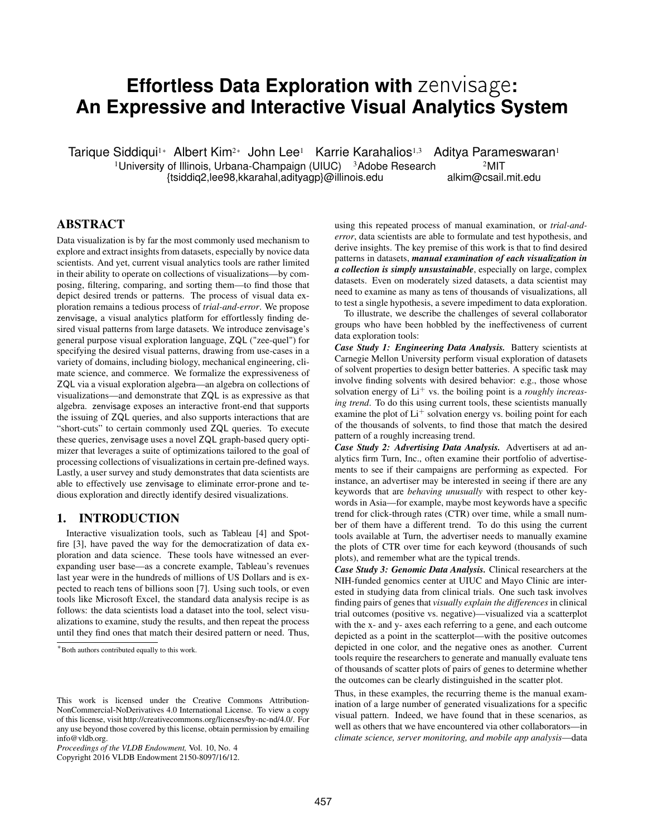# **Effortless Data Exploration with** zenvisage**: An Expressive and Interactive Visual Analytics System**

Tarique Siddiqui<sup>1</sup>∗ Albert Kim<sup>2</sup>∗ John Lee<sup>1</sup> Karrie Karahalios<sup>1,3</sup> Aditya Parameswaran<sup>1</sup> <sup>1</sup>University of Illinois, Urbana-Champaign (UIUC)  $3$ Adobe Research  $2$ MIT {tsiddiq2,lee98,kkarahal,adityagp}@illinois.edu alkim@csail.mit.edu

# ABSTRACT

Data visualization is by far the most commonly used mechanism to explore and extract insights from datasets, especially by novice data scientists. And yet, current visual analytics tools are rather limited in their ability to operate on collections of visualizations—by composing, filtering, comparing, and sorting them—to find those that depict desired trends or patterns. The process of visual data exploration remains a tedious process of *trial-and-error*. We propose zenvisage, a visual analytics platform for effortlessly finding desired visual patterns from large datasets. We introduce zenvisage's general purpose visual exploration language, ZQL ("zee-quel") for specifying the desired visual patterns, drawing from use-cases in a variety of domains, including biology, mechanical engineering, climate science, and commerce. We formalize the expressiveness of ZQL via a visual exploration algebra—an algebra on collections of visualizations—and demonstrate that ZQL is as expressive as that algebra. zenvisage exposes an interactive front-end that supports the issuing of ZQL queries, and also supports interactions that are "short-cuts" to certain commonly used ZQL queries. To execute these queries, zenvisage uses a novel ZQL graph-based query optimizer that leverages a suite of optimizations tailored to the goal of processing collections of visualizations in certain pre-defined ways. Lastly, a user survey and study demonstrates that data scientists are able to effectively use zenvisage to eliminate error-prone and tedious exploration and directly identify desired visualizations.

## 1. INTRODUCTION

Interactive visualization tools, such as Tableau [4] and Spotfire [3], have paved the way for the democratization of data exploration and data science. These tools have witnessed an everexpanding user base—as a concrete example, Tableau's revenues last year were in the hundreds of millions of US Dollars and is expected to reach tens of billions soon [7]. Using such tools, or even tools like Microsoft Excel, the standard data analysis recipe is as follows: the data scientists load a dataset into the tool, select visualizations to examine, study the results, and then repeat the process until they find ones that match their desired pattern or need. Thus,

Copyright 2016 VLDB Endowment 2150-8097/16/12.

using this repeated process of manual examination, or *trial-anderror*, data scientists are able to formulate and test hypothesis, and derive insights. The key premise of this work is that to find desired patterns in datasets, *manual examination of each visualization in a collection is simply unsustainable*, especially on large, complex datasets. Even on moderately sized datasets, a data scientist may need to examine as many as tens of thousands of visualizations, all to test a single hypothesis, a severe impediment to data exploration.

To illustrate, we describe the challenges of several collaborator groups who have been hobbled by the ineffectiveness of current data exploration tools:

*Case Study 1: Engineering Data Analysis.* Battery scientists at Carnegie Mellon University perform visual exploration of datasets of solvent properties to design better batteries. A specific task may involve finding solvents with desired behavior: e.g., those whose solvation energy of Li<sup>+</sup> vs. the boiling point is a *roughly increasing trend*. To do this using current tools, these scientists manually examine the plot of  $Li<sup>+</sup>$  solvation energy vs. boiling point for each of the thousands of solvents, to find those that match the desired pattern of a roughly increasing trend.

*Case Study 2: Advertising Data Analysis.* Advertisers at ad analytics firm Turn, Inc., often examine their portfolio of advertisements to see if their campaigns are performing as expected. For instance, an advertiser may be interested in seeing if there are any keywords that are *behaving unusually* with respect to other keywords in Asia—for example, maybe most keywords have a specific trend for click-through rates (CTR) over time, while a small number of them have a different trend. To do this using the current tools available at Turn, the advertiser needs to manually examine the plots of CTR over time for each keyword (thousands of such plots), and remember what are the typical trends.

*Case Study 3: Genomic Data Analysis.* Clinical researchers at the NIH-funded genomics center at UIUC and Mayo Clinic are interested in studying data from clinical trials. One such task involves finding pairs of genes that *visually explain the differences* in clinical trial outcomes (positive vs. negative)—visualized via a scatterplot with the x- and y- axes each referring to a gene, and each outcome depicted as a point in the scatterplot—with the positive outcomes depicted in one color, and the negative ones as another. Current tools require the researchers to generate and manually evaluate tens of thousands of scatter plots of pairs of genes to determine whether the outcomes can be clearly distinguished in the scatter plot.

Thus, in these examples, the recurring theme is the manual examination of a large number of generated visualizations for a specific visual pattern. Indeed, we have found that in these scenarios, as well as others that we have encountered via other collaborators—in *climate science, server monitoring, and mobile app analysis*—data

<sup>∗</sup>Both authors contributed equally to this work.

This work is licensed under the Creative Commons Attribution-NonCommercial-NoDerivatives 4.0 International License. To view a copy of this license, visit http://creativecommons.org/licenses/by-nc-nd/4.0/. For any use beyond those covered by this license, obtain permission by emailing info@vldb.org.

*Proceedings of the VLDB Endowment,* Vol. 10, No. 4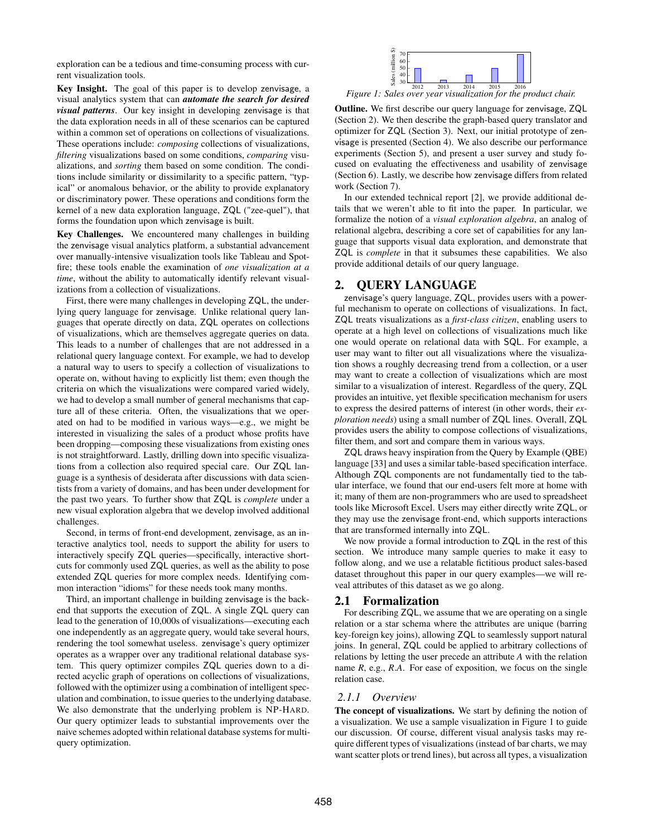exploration can be a tedious and time-consuming process with current visualization tools.

Key Insight. The goal of this paper is to develop zenvisage, a visual analytics system that can *automate the search for desired visual patterns*. Our key insight in developing zenvisage is that the data exploration needs in all of these scenarios can be captured within a common set of operations on collections of visualizations. These operations include: *composing* collections of visualizations, *filtering* visualizations based on some conditions, *comparing* visualizations, and *sorting* them based on some condition. The conditions include similarity or dissimilarity to a specific pattern, "typical" or anomalous behavior, or the ability to provide explanatory or discriminatory power. These operations and conditions form the kernel of a new data exploration language, ZQL ("zee-quel"), that forms the foundation upon which zenvisage is built.

Key Challenges. We encountered many challenges in building the zenvisage visual analytics platform, a substantial advancement over manually-intensive visualization tools like Tableau and Spotfire; these tools enable the examination of *one visualization at a time*, without the ability to automatically identify relevant visualizations from a collection of visualizations.

First, there were many challenges in developing ZQL, the underlying query language for zenvisage. Unlike relational query languages that operate directly on data, ZQL operates on collections of visualizations, which are themselves aggregate queries on data. This leads to a number of challenges that are not addressed in a relational query language context. For example, we had to develop a natural way to users to specify a collection of visualizations to operate on, without having to explicitly list them; even though the criteria on which the visualizations were compared varied widely, we had to develop a small number of general mechanisms that capture all of these criteria. Often, the visualizations that we operated on had to be modified in various ways—e.g., we might be interested in visualizing the sales of a product whose profits have been dropping—composing these visualizations from existing ones is not straightforward. Lastly, drilling down into specific visualizations from a collection also required special care. Our ZQL language is a synthesis of desiderata after discussions with data scientists from a variety of domains, and has been under development for the past two years. To further show that ZQL is *complete* under a new visual exploration algebra that we develop involved additional challenges.

Second, in terms of front-end development, zenvisage, as an interactive analytics tool, needs to support the ability for users to interactively specify ZQL queries—specifically, interactive shortcuts for commonly used ZQL queries, as well as the ability to pose extended ZQL queries for more complex needs. Identifying common interaction "idioms" for these needs took many months.

Third, an important challenge in building zenvisage is the backend that supports the execution of ZQL. A single ZQL query can lead to the generation of 10,000s of visualizations—executing each one independently as an aggregate query, would take several hours, rendering the tool somewhat useless. zenvisage's query optimizer operates as a wrapper over any traditional relational database system. This query optimizer compiles ZQL queries down to a directed acyclic graph of operations on collections of visualizations, followed with the optimizer using a combination of intelligent speculation and combination, to issue queries to the underlying database. We also demonstrate that the underlying problem is NP-HARD. Our query optimizer leads to substantial improvements over the naive schemes adopted within relational database systems for multiquery optimization.



2012 2013 2014 2015 2016 *Figure 1: Sales over year visualization for the product chair.*

Outline. We first describe our query language for zenvisage, ZQL (Section 2). We then describe the graph-based query translator and optimizer for ZQL (Section 3). Next, our initial prototype of zenvisage is presented (Section 4). We also describe our performance experiments (Section 5), and present a user survey and study focused on evaluating the effectiveness and usability of zenvisage (Section 6). Lastly, we describe how zenvisage differs from related work (Section 7).

In our extended technical report [2], we provide additional details that we weren't able to fit into the paper. In particular, we formalize the notion of a *visual exploration algebra*, an analog of relational algebra, describing a core set of capabilities for any language that supports visual data exploration, and demonstrate that ZQL is *complete* in that it subsumes these capabilities. We also provide additional details of our query language.

# 2. QUERY LANGUAGE

zenvisage's query language, ZQL, provides users with a powerful mechanism to operate on collections of visualizations. In fact, ZQL treats visualizations as a *first-class citizen*, enabling users to operate at a high level on collections of visualizations much like one would operate on relational data with SQL. For example, a user may want to filter out all visualizations where the visualization shows a roughly decreasing trend from a collection, or a user may want to create a collection of visualizations which are most similar to a visualization of interest. Regardless of the query, ZQL provides an intuitive, yet flexible specification mechanism for users to express the desired patterns of interest (in other words, their *exploration needs*) using a small number of ZQL lines. Overall, ZQL provides users the ability to compose collections of visualizations, filter them, and sort and compare them in various ways.

ZQL draws heavy inspiration from the Query by Example (QBE) language [33] and uses a similar table-based specification interface. Although ZQL components are not fundamentally tied to the tabular interface, we found that our end-users felt more at home with it; many of them are non-programmers who are used to spreadsheet tools like Microsoft Excel. Users may either directly write ZQL, or they may use the zenvisage front-end, which supports interactions that are transformed internally into ZQL.

We now provide a formal introduction to ZQL in the rest of this section. We introduce many sample queries to make it easy to follow along, and we use a relatable fictitious product sales-based dataset throughout this paper in our query examples—we will reveal attributes of this dataset as we go along.

## 2.1 Formalization

For describing ZQL, we assume that we are operating on a single relation or a star schema where the attributes are unique (barring key-foreign key joins), allowing ZQL to seamlessly support natural joins. In general, ZQL could be applied to arbitrary collections of relations by letting the user precede an attribute *A* with the relation name *R*, e.g., *R*.*A*. For ease of exposition, we focus on the single relation case.

## *2.1.1 Overview*

The concept of visualizations. We start by defining the notion of a visualization. We use a sample visualization in Figure 1 to guide our discussion. Of course, different visual analysis tasks may require different types of visualizations (instead of bar charts, we may want scatter plots or trend lines), but across all types, a visualization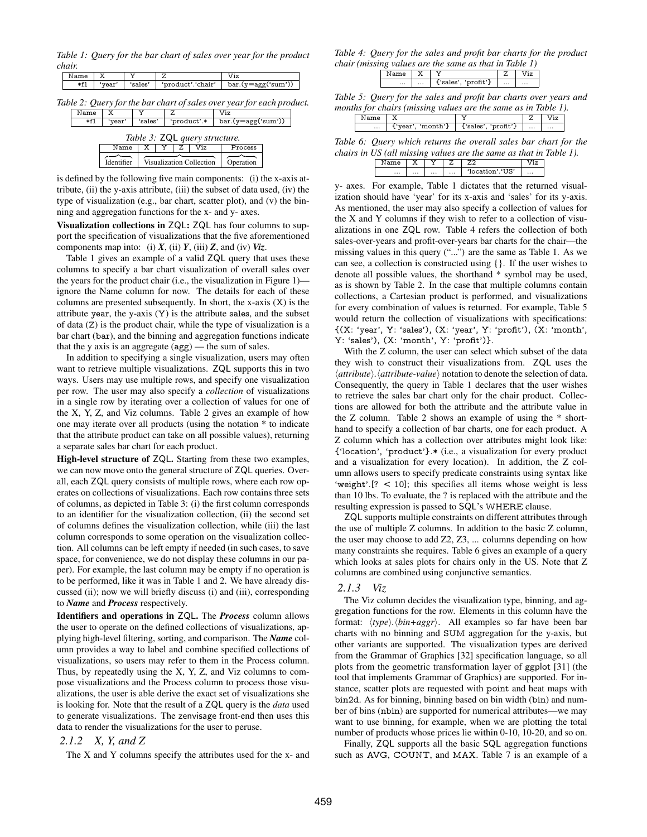*Table 1: Query for the bar chart of sales over year for the product chair.*

| х<br>Name<br>v                |                                                                       |   | Z                                                |    |                          |  | Viz                    |  |  |
|-------------------------------|-----------------------------------------------------------------------|---|--------------------------------------------------|----|--------------------------|--|------------------------|--|--|
| *f1<br>'sales'<br>'year'      |                                                                       |   | 'product'.'chair'                                |    |                          |  | $bar.(y = age('sum'))$ |  |  |
|                               |                                                                       |   |                                                  |    |                          |  |                        |  |  |
|                               | Table 2: Query for the bar chart of sales over year for each product. |   |                                                  |    |                          |  |                        |  |  |
| Name                          |                                                                       |   |                                                  | Z. |                          |  | Viz                    |  |  |
| $*f1$                         | 'year'                                                                |   | $bar.(y = age('sum'))$<br>'product'.*<br>'sales' |    |                          |  |                        |  |  |
| Table 3: ZQL query structure. |                                                                       |   |                                                  |    |                          |  |                        |  |  |
|                               | Name                                                                  | х | Viz<br>Z.                                        |    |                          |  | Process                |  |  |
|                               |                                                                       |   |                                                  |    |                          |  |                        |  |  |
|                               | Identifier                                                            |   |                                                  |    | Visualization Collection |  | Operation              |  |  |

is defined by the following five main components: (i) the x-axis attribute,  $(ii)$  the y-axis attribute,  $(iii)$  the subset of data used,  $(iv)$  the type of visualization (e.g., bar chart, scatter plot), and (v) the binning and aggregation functions for the x- and y- axes.

Visualization collections in ZQL: ZQL has four columns to support the specification of visualizations that the five aforementioned components map into: (i)  $X$ , (ii)  $Y$ , (iii)  $Z$ , and (iv)  $Viz$ .

Table 1 gives an example of a valid ZQL query that uses these columns to specify a bar chart visualization of overall sales over the years for the product chair (i.e., the visualization in Figure 1) ignore the Name column for now. The details for each of these columns are presented subsequently. In short, the x-axis (X) is the attribute year, the y-axis (Y) is the attribute sales, and the subset of data (Z) is the product chair, while the type of visualization is a bar chart (bar), and the binning and aggregation functions indicate that the y axis is an aggregate (agg) — the sum of sales.

In addition to specifying a single visualization, users may often want to retrieve multiple visualizations. ZQL supports this in two ways. Users may use multiple rows, and specify one visualization per row. The user may also specify a *collection* of visualizations in a single row by iterating over a collection of values for one of the X, Y, Z, and Viz columns. Table 2 gives an example of how one may iterate over all products (using the notation \* to indicate that the attribute product can take on all possible values), returning a separate sales bar chart for each product.

High-level structure of ZQL. Starting from these two examples, we can now move onto the general structure of ZQL queries. Overall, each ZQL query consists of multiple rows, where each row operates on collections of visualizations. Each row contains three sets of columns, as depicted in Table 3: (i) the first column corresponds to an identifier for the visualization collection, (ii) the second set of columns defines the visualization collection, while (iii) the last column corresponds to some operation on the visualization collection. All columns can be left empty if needed (in such cases, to save space, for convenience, we do not display these columns in our paper). For example, the last column may be empty if no operation is to be performed, like it was in Table 1 and 2. We have already discussed (ii); now we will briefly discuss (i) and (iii), corresponding to *Name* and *Process* respectively.

Identifiers and operations in ZQL. The *Process* column allows the user to operate on the defined collections of visualizations, applying high-level filtering, sorting, and comparison. The *Name* column provides a way to label and combine specified collections of visualizations, so users may refer to them in the Process column. Thus, by repeatedly using the X, Y, Z, and Viz columns to compose visualizations and the Process column to process those visualizations, the user is able derive the exact set of visualizations she is looking for. Note that the result of a ZQL query is the *data* used to generate visualizations. The zenvisage front-end then uses this data to render the visualizations for the user to peruse.

## *2.1.2 X, Y, and Z*

The X and Y columns specify the attributes used for the x- and

*Table 4: Query for the sales and profit bar charts for the product chair (missing values are the same as that in Table 1)*

| $\{ 'sales', 'profit' \}$<br>$\cdots$<br>$\cdots$<br>$\cdots$<br>$\cdots$ | <b>Jame</b> | $\ldots$ |  |
|---------------------------------------------------------------------------|-------------|----------|--|
|                                                                           |             |          |  |

*Table 5: Query for the sales and profit bar charts over years and months for chairs (missing values are the same as in Table 1).*

| $\cdots$ | ⊃nth'′<br>ъ.<br>∙ea. | t'sale | $\cdots$ | $\cdots$ |
|----------|----------------------|--------|----------|----------|

*Table 6: Query which returns the overall sales bar chart for the chairs in US (all missing values are the same as that in Table 1).*

|          | v        |          |          |      |          |  |
|----------|----------|----------|----------|------|----------|--|
| $\cdots$ | $\cdots$ | $\cdots$ | $\cdots$ | T(T) | $\cdots$ |  |
|          |          |          |          |      |          |  |

y- axes. For example, Table 1 dictates that the returned visualization should have 'year' for its x-axis and 'sales' for its y-axis. As mentioned, the user may also specify a collection of values for the X and Y columns if they wish to refer to a collection of visualizations in one ZQL row. Table 4 refers the collection of both sales-over-years and profit-over-years bar charts for the chair—the missing values in this query ("...") are the same as Table 1. As we can see, a collection is constructed using {}. If the user wishes to denote all possible values, the shorthand \* symbol may be used, as is shown by Table 2. In the case that multiple columns contain collections, a Cartesian product is performed, and visualizations for every combination of values is returned. For example, Table 5 would return the collection of visualizations with specifications: {(X: 'year', Y: 'sales'), (X: 'year', Y: 'profit'), (X: 'month', Y: 'sales'), (X: 'month', Y: 'profit')}.

With the Z column, the user can select which subset of the data they wish to construct their visualizations from. ZQL uses the  $\langle$ *attribute* $\rangle$ *.*  $\langle$ *attribute-value* $\rangle$  notation to denote the selection of data. Consequently, the query in Table 1 declares that the user wishes to retrieve the sales bar chart only for the chair product. Collections are allowed for both the attribute and the attribute value in the Z column. Table 2 shows an example of using the \* shorthand to specify a collection of bar charts, one for each product. A Z column which has a collection over attributes might look like: {'location', 'product'}.\* (i.e., a visualization for every product and a visualization for every location). In addition, the Z column allows users to specify predicate constraints using syntax like 'weight'.[? < 10]; this specifies all items whose weight is less than 10 lbs. To evaluate, the ? is replaced with the attribute and the resulting expression is passed to SQL's WHERE clause.

ZQL supports multiple constraints on different attributes through the use of multiple Z columns. In addition to the basic Z column, the user may choose to add Z2, Z3, ... columns depending on how many constraints she requires. Table 6 gives an example of a query which looks at sales plots for chairs only in the US. Note that Z columns are combined using conjunctive semantics.

#### *2.1.3 Viz*

The Viz column decides the visualization type, binning, and aggregation functions for the row. Elements in this column have the format:  $\langle type \rangle$ *.*  $\langle bin+aggr \rangle$ . All examples so far have been bar charts with no binning and SUM aggregation for the y-axis, but other variants are supported. The visualization types are derived from the Grammar of Graphics [32] specification language, so all plots from the geometric transformation layer of ggplot [31] (the tool that implements Grammar of Graphics) are supported. For instance, scatter plots are requested with point and heat maps with bin2d. As for binning, binning based on bin width (bin) and number of bins (nbin) are supported for numerical attributes—we may want to use binning, for example, when we are plotting the total number of products whose prices lie within 0-10, 10-20, and so on.

Finally, ZQL supports all the basic SQL aggregation functions such as AVG, COUNT, and MAX. Table 7 is an example of a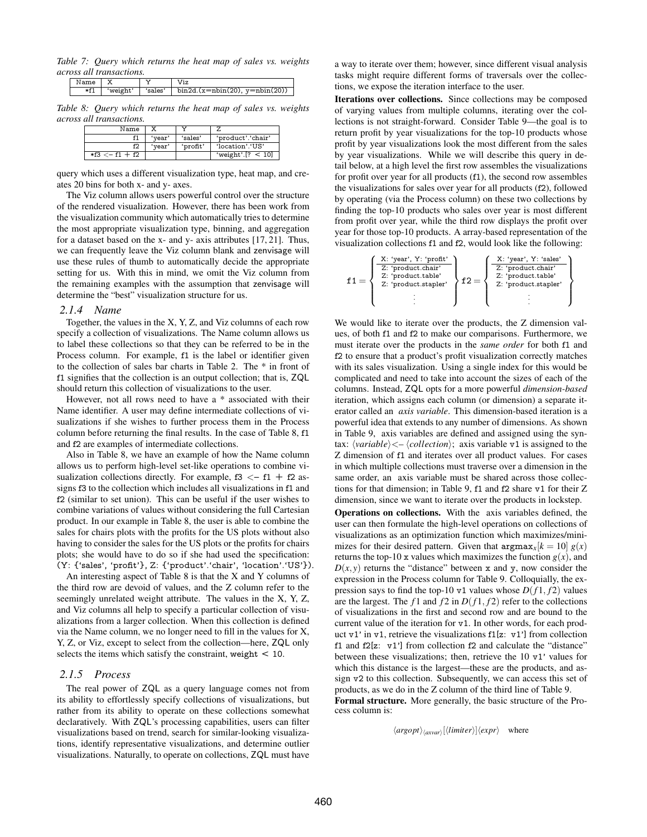*Table 7: Query which returns the heat map of sales vs. weights across all transactions.*

| 'weight' | 'sales'   bin2d. $(x=nbin(20), y=nbin(20))$ |
|----------|---------------------------------------------|

*Table 8: Query which returns the heat map of sales vs. weights across all transactions.*

| Name                |        |          |                     |
|---------------------|--------|----------|---------------------|
|                     | 'vear' | 'sales'  | 'product'.'chair'   |
|                     | 'vear' | 'profit' | 'location'.'US'     |
| $*f3 \leq -f1 + f2$ |        |          | 'weight'.[? $<$ 10] |

query which uses a different visualization type, heat map, and creates 20 bins for both x- and y- axes.

The Viz column allows users powerful control over the structure of the rendered visualization. However, there has been work from the visualization community which automatically tries to determine the most appropriate visualization type, binning, and aggregation for a dataset based on the x- and y- axis attributes [17, 21]. Thus, we can frequently leave the Viz column blank and zenvisage will use these rules of thumb to automatically decide the appropriate setting for us. With this in mind, we omit the Viz column from the remaining examples with the assumption that zenvisage will determine the "best" visualization structure for us.

#### *2.1.4 Name*

Together, the values in the X, Y, Z, and Viz columns of each row specify a collection of visualizations. The Name column allows us to label these collections so that they can be referred to be in the Process column. For example, f1 is the label or identifier given to the collection of sales bar charts in Table 2. The \* in front of f1 signifies that the collection is an output collection; that is, ZQL should return this collection of visualizations to the user.

However, not all rows need to have a \* associated with their Name identifier. A user may define intermediate collections of visualizations if she wishes to further process them in the Process column before returning the final results. In the case of Table 8, f1 and f2 are examples of intermediate collections.

Also in Table 8, we have an example of how the Name column allows us to perform high-level set-like operations to combine visualization collections directly. For example,  $f3 \leq -f1 + f2$  assigns f3 to the collection which includes all visualizations in f1 and f2 (similar to set union). This can be useful if the user wishes to combine variations of values without considering the full Cartesian product. In our example in Table 8, the user is able to combine the sales for chairs plots with the profits for the US plots without also having to consider the sales for the US plots or the profits for chairs plots; she would have to do so if she had used the specification: (Y: {'sales', 'profit'}, Z: {'product'.'chair', 'location'.'US'}).

An interesting aspect of Table 8 is that the X and Y columns of the third row are devoid of values, and the Z column refer to the seemingly unrelated weight attribute. The values in the X, Y, Z, and Viz columns all help to specify a particular collection of visualizations from a larger collection. When this collection is defined via the Name column, we no longer need to fill in the values for X, Y, Z, or Viz, except to select from the collection—here, ZQL only selects the items which satisfy the constraint, weight < 10.

## *2.1.5 Process*

The real power of ZQL as a query language comes not from its ability to effortlessly specify collections of visualizations, but rather from its ability to operate on these collections somewhat declaratively. With ZQL's processing capabilities, users can filter visualizations based on trend, search for similar-looking visualizations, identify representative visualizations, and determine outlier visualizations. Naturally, to operate on collections, ZQL must have

a way to iterate over them; however, since different visual analysis tasks might require different forms of traversals over the collections, we expose the iteration interface to the user.

Iterations over collections. Since collections may be composed of varying values from multiple columns, iterating over the collections is not straight-forward. Consider Table 9—the goal is to return profit by year visualizations for the top-10 products whose profit by year visualizations look the most different from the sales by year visualizations. While we will describe this query in detail below, at a high level the first row assembles the visualizations for profit over year for all products (f1), the second row assembles the visualizations for sales over year for all products (f2), followed by operating (via the Process column) on these two collections by finding the top-10 products who sales over year is most different from profit over year, while the third row displays the profit over year for those top-10 products. A array-based representation of the visualization collections f1 and f2, would look like the following:

$$
f1=\left\{\begin{array}{l} \frac{X\colon `year', Y\colon `profit'}{Z\colon `product.chair'}\\ 2\colon `product.chair'\\ 2\colon `product.table'\\ 3\colon `product.stapler'\\ \vdots \end{array}\right\}f2=\left\{\begin{array}{l} \frac{X\colon `year', Y\colon `sales'}{Z\colon `product.chair'}\\ 2\colon `product.table'\\ 2\colon `product.stapler'\\ \vdots \end{array}\right\}
$$

We would like to iterate over the products, the Z dimension values, of both f1 and f2 to make our comparisons. Furthermore, we must iterate over the products in the *same order* for both f1 and f2 to ensure that a product's profit visualization correctly matches with its sales visualization. Using a single index for this would be complicated and need to take into account the sizes of each of the columns. Instead, ZQL opts for a more powerful *dimension-based* iteration, which assigns each column (or dimension) a separate iterator called an *axis variable*. This dimension-based iteration is a powerful idea that extends to any number of dimensions. As shown in Table 9, axis variables are defined and assigned using the syntax:  $\langle variable \rangle \langle - \langle collection \rangle$ ; axis variable v1 is assigned to the Z dimension of f1 and iterates over all product values. For cases in which multiple collections must traverse over a dimension in the same order, an axis variable must be shared across those collections for that dimension; in Table 9, f1 and f2 share v1 for their Z dimension, since we want to iterate over the products in lockstep.

Operations on collections. With the axis variables defined, the user can then formulate the high-level operations on collections of visualizations as an optimization function which maximizes/minimizes for their desired pattern. Given that  $\argmax_{x}$ [ $k = 10$ ]  $g(x)$ returns the top-10 x values which maximizes the function  $g(x)$ , and  $D(x, y)$  returns the "distance" between x and y, now consider the expression in the Process column for Table 9. Colloquially, the expression says to find the top-10 v1 values whose  $D(f1, f2)$  values are the largest. The  $f_1$  and  $f_2$  in  $D(f_1, f_2)$  refer to the collections of visualizations in the first and second row and are bound to the current value of the iteration for v1. In other words, for each product  $v1'$  in  $v1$ , retrieve the visualizations  $f1[z: v1']$  from collection f1 and f2[z: v1'] from collection f2 and calculate the "distance" between these visualizations; then, retrieve the 10 v1' values for which this distance is the largest—these are the products, and assign v2 to this collection. Subsequently, we can access this set of products, as we do in the Z column of the third line of Table 9. Formal structure. More generally, the basic structure of the Pro-

cess column is:

 $\langle \text{arg} \text{opt} \rangle_{\langle \text{a x var} \rangle} [\langle \text{limit} \text{er} \rangle] \langle \text{expr} \rangle$  where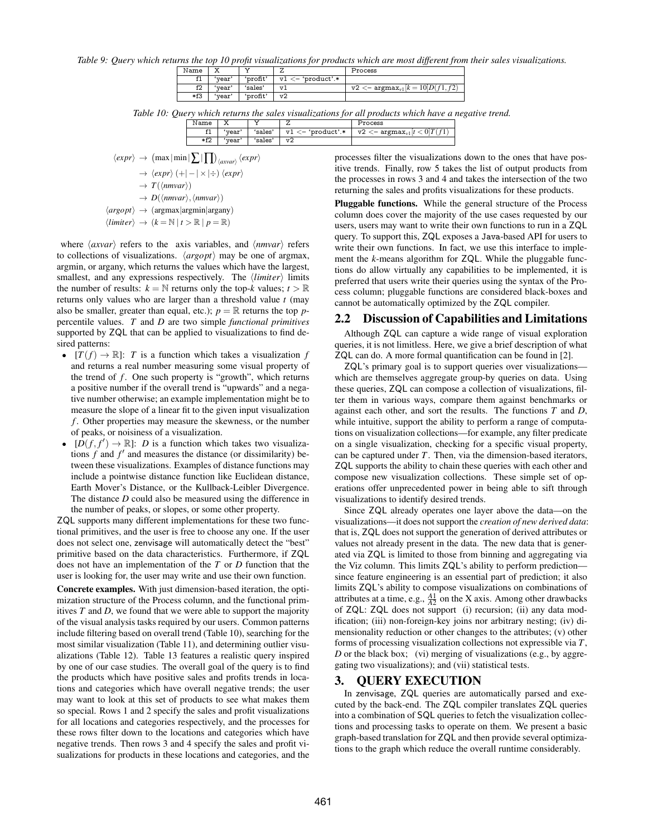*Table 9: Query which returns the top 10 profit visualizations for products which are most different from their sales visualizations.*

| Name   |        |          |                      | Process                                                                  |
|--------|--------|----------|----------------------|--------------------------------------------------------------------------|
| f1     | 'vear' | 'profit' | $v1 < -$ 'product'.* |                                                                          |
| f2     | 'vear' | 'sales'  | 17 T                 | $\texttt{v2} <$ - argmax <sub>v1</sub> [ $k = 10$ ] $\overline{D(f1)}$ , |
| $*$ f3 | 'vear' | 'profit' | v2                   |                                                                          |

*Table 10: Query which returns the sales visualizations for all products which have a negative trend.*

| Name       | <br>▵  |         |                 | 'rocess           |
|------------|--------|---------|-----------------|-------------------|
| <b>. .</b> | 'vear' | 'sales' | product'.*<br>T | v2<br>argmax<br>- |
| $*f2$      | ™d⊥    | 'sales' | vż              |                   |

$$
\langle expr \rangle \rightarrow (max | min | \sum | \prod_{\langle axvar \rangle} \langle expr \rangle
$$
  
\n
$$
\rightarrow \langle expr \rangle (+ | - | \times | \div ) \langle expr \rangle
$$
  
\n
$$
\rightarrow T(\langle mwar \rangle)
$$
  
\n
$$
\rightarrow D(\langle mwar \rangle, \langle mwar \rangle)
$$
  
\n
$$
\langle argopt \rangle \rightarrow (argmax |argmin |argany)
$$
  
\n
$$
\langle limir \rangle \rightarrow (k = \mathbb{N} | t \rangle \mathbb{R} | p = \mathbb{R})
$$

where  $\langle$ *axvar* $\rangle$  refers to the axis variables, and  $\langle$ *nmvar* $\rangle$  refers to collections of visualizations.  $\langle argopt \rangle$  may be one of argmax, argmin, or argany, which returns the values which have the largest, smallest, and any expressions respectively. The  $\langle$ *limiter* $\rangle$  limits the number of results:  $k = N$  returns only the top-*k* values;  $t > R$ returns only values who are larger than a threshold value *t* (may also be smaller, greater than equal, etc.);  $p = \mathbb{R}$  returns the top *p*percentile values. *T* and *D* are two simple *functional primitives* supported by ZQL that can be applied to visualizations to find desired patterns:

- $[T(f) \to \mathbb{R}]$ : *T* is a function which takes a visualization *f* and returns a real number measuring some visual property of the trend of *f*. One such property is "growth", which returns a positive number if the overall trend is "upwards" and a negative number otherwise; an example implementation might be to measure the slope of a linear fit to the given input visualization *f* . Other properties may measure the skewness, or the number of peaks, or noisiness of a visualization.
- $[D(f, f')] \to \mathbb{R}$ : *D* is a function which takes two visualizations  $f$  and  $f'$  and measures the distance (or dissimilarity) between these visualizations. Examples of distance functions may include a pointwise distance function like Euclidean distance, Earth Mover's Distance, or the Kullback-Leibler Divergence. The distance *D* could also be measured using the difference in the number of peaks, or slopes, or some other property.

ZQL supports many different implementations for these two functional primitives, and the user is free to choose any one. If the user does not select one, zenvisage will automatically detect the "best" primitive based on the data characteristics. Furthermore, if ZQL does not have an implementation of the *T* or *D* function that the user is looking for, the user may write and use their own function. Concrete examples. With just dimension-based iteration, the optimization structure of the Process column, and the functional primitives *T* and *D*, we found that we were able to support the majority of the visual analysis tasks required by our users. Common patterns include filtering based on overall trend (Table 10), searching for the most similar visualization (Table 11), and determining outlier visualizations (Table 12). Table 13 features a realistic query inspired by one of our case studies. The overall goal of the query is to find the products which have positive sales and profits trends in locations and categories which have overall negative trends; the user may want to look at this set of products to see what makes them so special. Rows 1 and 2 specify the sales and profit visualizations for all locations and categories respectively, and the processes for these rows filter down to the locations and categories which have negative trends. Then rows 3 and 4 specify the sales and profit visualizations for products in these locations and categories, and the

processes filter the visualizations down to the ones that have positive trends. Finally, row 5 takes the list of output products from the processes in rows 3 and 4 and takes the intersection of the two returning the sales and profits visualizations for these products.

Pluggable functions. While the general structure of the Process column does cover the majority of the use cases requested by our users, users may want to write their own functions to run in a ZQL query. To support this, ZQL exposes a Java-based API for users to write their own functions. In fact, we use this interface to implement the *k*-means algorithm for ZQL. While the pluggable functions do allow virtually any capabilities to be implemented, it is preferred that users write their queries using the syntax of the Process column; pluggable functions are considered black-boxes and cannot be automatically optimized by the ZQL compiler.

# 2.2 Discussion of Capabilities and Limitations

Although ZQL can capture a wide range of visual exploration queries, it is not limitless. Here, we give a brief description of what ZQL can do. A more formal quantification can be found in [2].

ZQL's primary goal is to support queries over visualizations which are themselves aggregate group-by queries on data. Using these queries, ZQL can compose a collection of visualizations, filter them in various ways, compare them against benchmarks or against each other, and sort the results. The functions *T* and *D*, while intuitive, support the ability to perform a range of computations on visualization collections—for example, any filter predicate on a single visualization, checking for a specific visual property, can be captured under *T*. Then, via the dimension-based iterators, ZQL supports the ability to chain these queries with each other and compose new visualization collections. These simple set of operations offer unprecedented power in being able to sift through visualizations to identify desired trends.

Since ZQL already operates one layer above the data—on the visualizations—it does not support the *creation of new derived data*: that is, ZQL does not support the generation of derived attributes or values not already present in the data. The new data that is generated via ZQL is limited to those from binning and aggregating via the Viz column. This limits ZQL's ability to perform prediction since feature engineering is an essential part of prediction; it also limits ZQL's ability to compose visualizations on combinations of attributes at a time, e.g.,  $\frac{A1}{A2}$  on the X axis. Among other drawbacks of ZQL: ZQL does not support (i) recursion; (ii) any data modification; (iii) non-foreign-key joins nor arbitrary nesting; (iv) dimensionality reduction or other changes to the attributes; (v) other forms of processing visualization collections not expressible via *T*, *D* or the black box; (vi) merging of visualizations (e.g., by aggregating two visualizations); and (vii) statistical tests.

# 3. QUERY EXECUTION

In zenvisage, ZQL queries are automatically parsed and executed by the back-end. The ZQL compiler translates ZQL queries into a combination of SQL queries to fetch the visualization collections and processing tasks to operate on them. We present a basic graph-based translation for ZQL and then provide several optimizations to the graph which reduce the overall runtime considerably.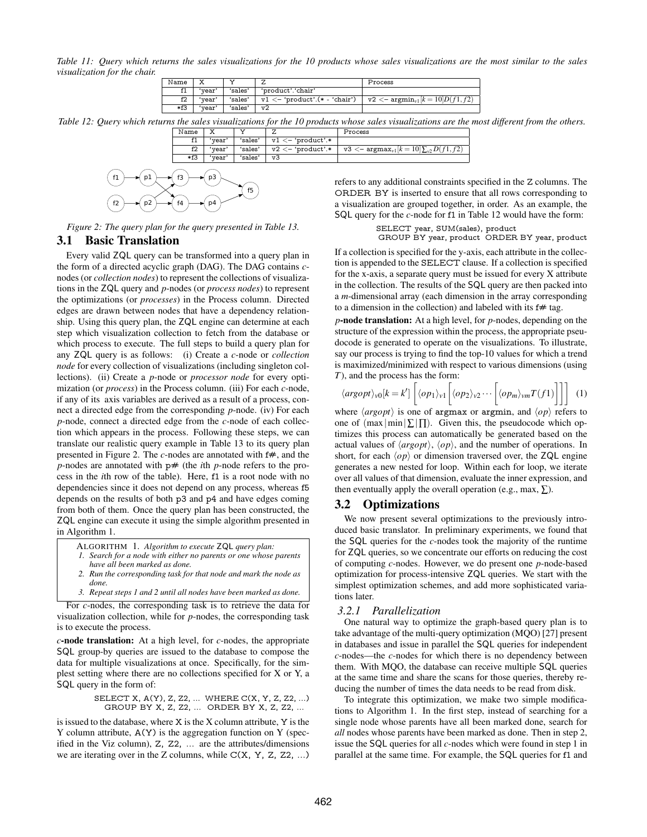*Table 11: Query which returns the sales visualizations for the 10 products whose sales visualizations are the most similar to the sales visualization for the chair.*

| Name       |        |         |                                         | Process                                                |
|------------|--------|---------|-----------------------------------------|--------------------------------------------------------|
| $^{\circ}$ | 'vear' | 'sales' | 'product'.'chair'                       |                                                        |
| f2         | 'vear' | 'sales' | $v1 \leftarrow 'product'.(* - 'chair')$ | $\texttt{v2} <$ - $\text{argmin}_{v1} [k=10] D(f1,f2)$ |
| *f3        | 'vear' | 'sales' | v2                                      |                                                        |

*Table 12: Query which returns the sales visualizations for the 10 products whose sales visualizations are the most different from the others.*

| Name | ◠     |         |                      | Process                                                                            |
|------|-------|---------|----------------------|------------------------------------------------------------------------------------|
| 11   | vear' | 'sales' | $v1 <$ - 'product'.* |                                                                                    |
| f2   | vear  | 'sales' | $v2 < -$ 'product'.* | $\sqrt{v^3}$ < $\frac{1}{2}$ argmax <sub>v1</sub> [ $k = 10$ ] $\sum_{v^2} D(f^2)$ |
| *f3  | vear  | 'sales' | v3                   |                                                                                    |



*Figure 2: The query plan for the query presented in Table 13.*

## 3.1 Basic Translation

Every valid ZQL query can be transformed into a query plan in the form of a directed acyclic graph (DAG). The DAG contains *c*nodes (or *collection nodes*) to represent the collections of visualizations in the ZQL query and *p*-nodes (or *process nodes*) to represent the optimizations (or *processes*) in the Process column. Directed edges are drawn between nodes that have a dependency relationship. Using this query plan, the ZQL engine can determine at each step which visualization collection to fetch from the database or which process to execute. The full steps to build a query plan for any ZQL query is as follows: (i) Create a *c*-node or *collection node* for every collection of visualizations (including singleton collections). (ii) Create a *p*-node or *processor node* for every optimization (or *process*) in the Process column. (iii) For each *c*-node, if any of its axis variables are derived as a result of a process, connect a directed edge from the corresponding *p*-node. (iv) For each *p*-node, connect a directed edge from the *c*-node of each collection which appears in the process. Following these steps, we can translate our realistic query example in Table 13 to its query plan presented in Figure 2. The *c*-nodes are annotated with  $f#$ , and the *p*-nodes are annotated with  $p#$  (the *i*th *p*-node refers to the process in the *i*th row of the table). Here, f1 is a root node with no dependencies since it does not depend on any process, whereas f5 depends on the results of both p3 and p4 and have edges coming from both of them. Once the query plan has been constructed, the ZQL engine can execute it using the simple algorithm presented in in Algorithm 1.

- ALGORITHM 1. *Algorithm to execute* ZQL *query plan: 1. Search for a node with either no parents or one whose parents*
- *have all been marked as done. 2. Run the corresponding task for that node and mark the node as done.*
- *3. Repeat steps 1 and 2 until all nodes have been marked as done.*

For *c*-nodes, the corresponding task is to retrieve the data for visualization collection, while for *p*-nodes, the corresponding task is to execute the process.

*c*-node translation: At a high level, for *c*-nodes, the appropriate SQL group-by queries are issued to the database to compose the data for multiple visualizations at once. Specifically, for the simplest setting where there are no collections specified for X or Y, a SQL query in the form of:

> SELECT X, A(Y), Z, Z2, ... WHERE C(X, Y, Z, Z2, ...) GROUP BY X, Z, Z2, ... ORDER BY X, Z, Z2, ...

is issued to the database, where X is the X column attribute, Y is the Y column attribute, A(Y) is the aggregation function on Y (specified in the Viz column), Z, Z2, ... are the attributes/dimensions we are iterating over in the Z columns, while  $C(X, Y, Z, Z2, ...)$ 

refers to any additional constraints specified in the Z columns. The ORDER BY is inserted to ensure that all rows corresponding to a visualization are grouped together, in order. As an example, the SQL query for the *c*-node for f1 in Table 12 would have the form:

SELECT year, SUM(sales), product

GROUP BY year, product ORDER BY year, product

If a collection is specified for the y-axis, each attribute in the collection is appended to the SELECT clause. If a collection is specified for the x-axis, a separate query must be issued for every X attribute in the collection. The results of the SQL query are then packed into a *m*-dimensional array (each dimension in the array corresponding to a dimension in the collection) and labeled with its  $f#$  tag.

*p*-node translation: At a high level, for *p*-nodes, depending on the structure of the expression within the process, the appropriate pseudocode is generated to operate on the visualizations. To illustrate, say our process is trying to find the top-10 values for which a trend is maximized/minimized with respect to various dimensions (using *T*), and the process has the form:

$$
\langle argopt \rangle_{v0}[k=k'] \left[ \langle op_1 \rangle_{v1} \left[ \langle op_2 \rangle_{v2} \cdots \left[ \langle op_m \rangle_{vm} T(f1) \right] \right] \right] (1)
$$

where  $\langle argopt \rangle$  is one of argmax or argmin, and  $\langle op \rangle$  refers to one of  $(\max|\min|\sum|p|)$ . Given this, the pseudocode which optimizes this process can automatically be generated based on the actual values of  $\langle \text{arg} \rho \text{p} \rangle$ ,  $\langle \text{op} \rangle$ , and the number of operations. In short, for each  $\langle op \rangle$  or dimension traversed over, the ZQL engine generates a new nested for loop. Within each for loop, we iterate over all values of that dimension, evaluate the inner expression, and then eventually apply the overall operation (e.g., max,  $\Sigma$ ).

# 3.2 Optimizations

We now present several optimizations to the previously introduced basic translator. In preliminary experiments, we found that the SQL queries for the *c*-nodes took the majority of the runtime for ZQL queries, so we concentrate our efforts on reducing the cost of computing *c*-nodes. However, we do present one *p*-node-based optimization for process-intensive ZQL queries. We start with the simplest optimization schemes, and add more sophisticated variations later.

#### *3.2.1 Parallelization*

One natural way to optimize the graph-based query plan is to take advantage of the multi-query optimization (MQO) [27] present in databases and issue in parallel the SQL queries for independent *c*-nodes—the *c*-nodes for which there is no dependency between them. With MQO, the database can receive multiple SQL queries at the same time and share the scans for those queries, thereby reducing the number of times the data needs to be read from disk.

To integrate this optimization, we make two simple modifications to Algorithm 1. In the first step, instead of searching for a single node whose parents have all been marked done, search for *all* nodes whose parents have been marked as done. Then in step 2, issue the SQL queries for all *c*-nodes which were found in step 1 in parallel at the same time. For example, the SQL queries for f1 and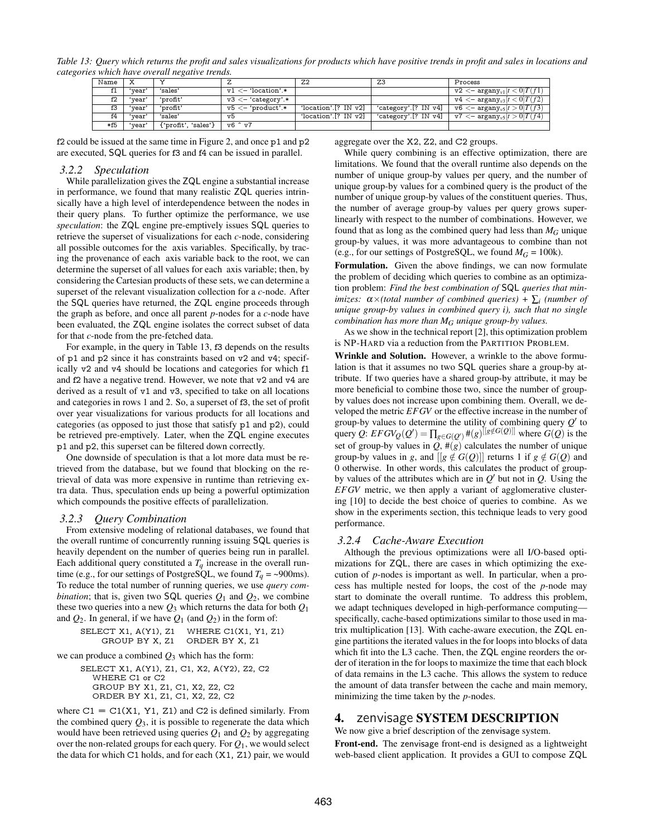*Table 13: Query which returns the profit and sales visualizations for products which have positive trends in profit and sales in locations and categories which have overall negative trends.*

| Name |        |                     |                                        | Z <sub>2</sub>          | Z <sub>3</sub>       | Process                                                           |
|------|--------|---------------------|----------------------------------------|-------------------------|----------------------|-------------------------------------------------------------------|
| f1   | 'vear  | 'sales'             | $v1 <$ - 'location'.*                  |                         |                      | $\text{v2} <$ - argany <sub>v1</sub> $[t < 0]$ $T(f1)$            |
| f2   | 'vear' | 'profit'            | $\texttt{v3} \texttt{<-}$ 'category'.* |                         |                      | $\text{v4} <$ - argany <sub>v3</sub> $[t < 0]$ $T(f2)$            |
| f3   | 'vear' | 'profit'            | $v5 <$ - 'product'.*                   | 'location'.[? $IN_{V}V$ | 'category'.[? IN v4] | $  \nabla 6 \nightharpoonup \text{argany}_{v5}   t > 0   T(f3)  $ |
| f4   | 'vear' | 'sales'             | v5                                     | 'location'.[? IN v2]    | 'category'.[? IN v4] | $  \nabla 7  <$ argany <sub>v5</sub> $ t > 0 T(f4) $              |
| *f5  | 'vear' | {'profit', 'sales'} | v6 ^ v7                                |                         |                      |                                                                   |

f2 could be issued at the same time in Figure 2, and once p1 and p2 are executed, SQL queries for f3 and f4 can be issued in parallel.

#### *3.2.2 Speculation*

While parallelization gives the ZQL engine a substantial increase in performance, we found that many realistic ZQL queries intrinsically have a high level of interdependence between the nodes in their query plans. To further optimize the performance, we use *speculation*: the ZQL engine pre-emptively issues SQL queries to retrieve the superset of visualizations for each *c*-node, considering all possible outcomes for the axis variables. Specifically, by tracing the provenance of each axis variable back to the root, we can determine the superset of all values for each axis variable; then, by considering the Cartesian products of these sets, we can determine a superset of the relevant visualization collection for a *c*-node. After the SQL queries have returned, the ZQL engine proceeds through the graph as before, and once all parent *p*-nodes for a *c*-node have been evaluated, the ZQL engine isolates the correct subset of data for that *c*-node from the pre-fetched data.

For example, in the query in Table 13, f3 depends on the results of p1 and p2 since it has constraints based on v2 and v4; specifically v2 and v4 should be locations and categories for which f1 and f2 have a negative trend. However, we note that v2 and v4 are derived as a result of v1 and v3, specified to take on all locations and categories in rows 1 and 2. So, a superset of f3, the set of profit over year visualizations for various products for all locations and categories (as opposed to just those that satisfy p1 and p2), could be retrieved pre-emptively. Later, when the ZQL engine executes p1 and p2, this superset can be filtered down correctly.

One downside of speculation is that a lot more data must be retrieved from the database, but we found that blocking on the retrieval of data was more expensive in runtime than retrieving extra data. Thus, speculation ends up being a powerful optimization which compounds the positive effects of parallelization.

## *3.2.3 Query Combination*

From extensive modeling of relational databases, we found that the overall runtime of concurrently running issuing SQL queries is heavily dependent on the number of queries being run in parallel. Each additional query constituted a  $T_q$  increase in the overall runtime (e.g., for our settings of PostgreSQL, we found  $T_q = \sim 900$ ms). To reduce the total number of running queries, we use *query combination*; that is, given two SQL queries  $Q_1$  and  $Q_2$ , we combine these two queries into a new *Q*<sup>3</sup> which returns the data for both *Q*<sup>1</sup> and  $Q_2$ . In general, if we have  $Q_1$  (and  $Q_2$ ) in the form of:

SELECT X1, A(Y1), Z1 WHERE C1(X1, Y1, Z1) GROUP BY X, Z1 ORDER BY X, Z1

we can produce a combined  $Q_3$  which has the form:

SELECT X1, A(Y1), Z1, C1, X2, A(Y2), Z2, C2 WHERE C1 or C2 GROUP BY X1, Z1, C1, X2, Z2, C2 ORDER BY X1, Z1, C1, X2, Z2, C2

where  $C1 = C1(X1, Y1, Z1)$  and  $C2$  is defined similarly. From the combined query  $Q_3$ , it is possible to regenerate the data which would have been retrieved using queries  $Q_1$  and  $Q_2$  by aggregating over the non-related groups for each query. For *Q*1, we would select the data for which C1 holds, and for each (X1, Z1) pair, we would aggregate over the X2, Z2, and C2 groups.

While query combining is an effective optimization, there are limitations. We found that the overall runtime also depends on the number of unique group-by values per query, and the number of unique group-by values for a combined query is the product of the number of unique group-by values of the constituent queries. Thus, the number of average group-by values per query grows superlinearly with respect to the number of combinations. However, we found that as long as the combined query had less than  $M_G$  unique group-by values, it was more advantageous to combine than not (e.g., for our settings of PostgreSQL, we found  $M_G = 100k$ ).

Formulation. Given the above findings, we can now formulate the problem of deciding which queries to combine as an optimization problem: *Find the best combination of* SQL *queries that minimizes:* α×*(total number of combined queries) +* ∑*<sup>i</sup> (number of unique group-by values in combined query i), such that no single combination has more than M<sup>G</sup> unique group-by values.*

As we show in the technical report [2], this optimization problem is NP-HARD via a reduction from the PARTITION PROBLEM.

Wrinkle and Solution. However, a wrinkle to the above formulation is that it assumes no two SQL queries share a group-by attribute. If two queries have a shared group-by attribute, it may be more beneficial to combine those two, since the number of groupby values does not increase upon combining them. Overall, we developed the metric *EFGV* or the effective increase in the number of group-by values to determine the utility of combining query  $Q'$  to query *Q*:  $EFGV_Q(Q') = \prod_{g \in G(Q')} \#(g)^{[[g \notin G(Q)]]}$  where  $G(Q)$  is the set of group-by values in  $Q$ ,  $\#(g)$  calculates the number of unique group-by values in *g*, and  $[[g \notin G(Q)]]$  returns 1 if  $g \notin G(Q)$  and 0 otherwise. In other words, this calculates the product of groupby values of the attributes which are in  $Q'$  but not in  $Q$ . Using the *EFGV* metric, we then apply a variant of agglomerative clustering [10] to decide the best choice of queries to combine. As we show in the experiments section, this technique leads to very good performance.

#### *3.2.4 Cache-Aware Execution*

Although the previous optimizations were all I/O-based optimizations for ZQL, there are cases in which optimizing the execution of *p*-nodes is important as well. In particular, when a process has multiple nested for loops, the cost of the *p*-node may start to dominate the overall runtime. To address this problem, we adapt techniques developed in high-performance computing specifically, cache-based optimizations similar to those used in matrix multiplication [13]. With cache-aware execution, the ZQL engine partitions the iterated values in the for loops into blocks of data which fit into the L3 cache. Then, the ZQL engine reorders the order of iteration in the for loops to maximize the time that each block of data remains in the L3 cache. This allows the system to reduce the amount of data transfer between the cache and main memory, minimizing the time taken by the *p*-nodes.

# 4. zenvisage SYSTEM DESCRIPTION

We now give a brief description of the zenvisage system.

Front-end. The zenvisage front-end is designed as a lightweight web-based client application. It provides a GUI to compose ZQL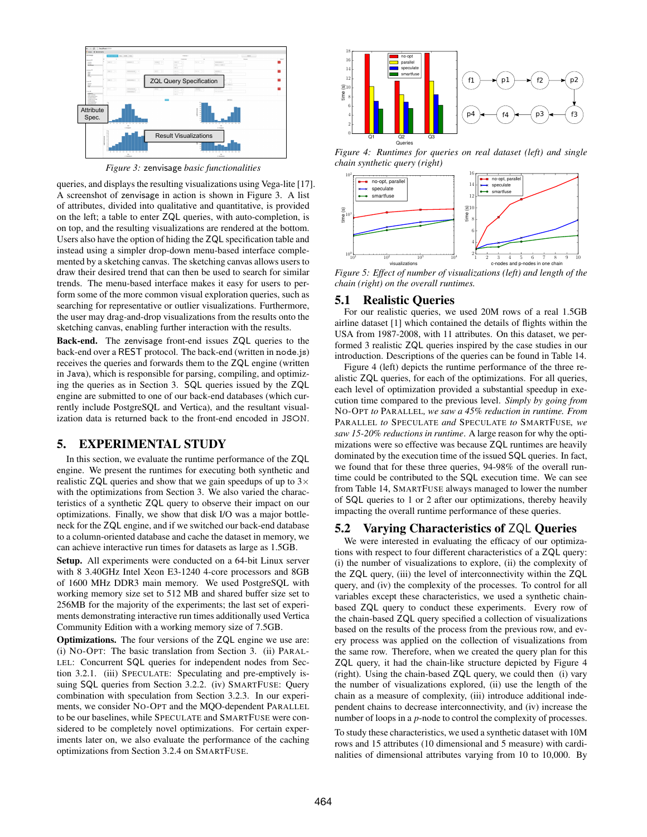

*Figure 3:* zenvisage *basic functionalities*

queries, and displays the resulting visualizations using Vega-lite [17]. A screenshot of zenvisage in action is shown in Figure 3. A list of attributes, divided into qualitative and quantitative, is provided on the left; a table to enter ZQL queries, with auto-completion, is on top, and the resulting visualizations are rendered at the bottom. Users also have the option of hiding the ZQL specification table and instead using a simpler drop-down menu-based interface complemented by a sketching canvas. The sketching canvas allows users to draw their desired trend that can then be used to search for similar trends. The menu-based interface makes it easy for users to perform some of the more common visual exploration queries, such as searching for representative or outlier visualizations. Furthermore, the user may drag-and-drop visualizations from the results onto the sketching canvas, enabling further interaction with the results.

Back-end. The zenvisage front-end issues ZQL queries to the back-end over a REST protocol. The back-end (written in node.js) receives the queries and forwards them to the ZQL engine (written in Java), which is responsible for parsing, compiling, and optimizing the queries as in Section 3. SQL queries issued by the ZQL engine are submitted to one of our back-end databases (which currently include PostgreSQL and Vertica), and the resultant visualization data is returned back to the front-end encoded in JSON.

## 5. EXPERIMENTAL STUDY

In this section, we evaluate the runtime performance of the ZQL engine. We present the runtimes for executing both synthetic and realistic ZQL queries and show that we gain speedups of up to  $3\times$ with the optimizations from Section 3. We also varied the characteristics of a synthetic ZQL query to observe their impact on our optimizations. Finally, we show that disk I/O was a major bottleneck for the ZQL engine, and if we switched our back-end database to a column-oriented database and cache the dataset in memory, we can achieve interactive run times for datasets as large as 1.5GB.

Setup. All experiments were conducted on a 64-bit Linux server with 8 3.40GHz Intel Xeon E3-1240 4-core processors and 8GB of 1600 MHz DDR3 main memory. We used PostgreSQL with working memory size set to 512 MB and shared buffer size set to 256MB for the majority of the experiments; the last set of experiments demonstrating interactive run times additionally used Vertica Community Edition with a working memory size of 7.5GB.

Optimizations. The four versions of the ZQL engine we use are: (i) NO-OPT: The basic translation from Section 3. (ii) PARAL-LEL: Concurrent SQL queries for independent nodes from Section 3.2.1. (iii) SPECULATE: Speculating and pre-emptively issuing SQL queries from Section 3.2.2. (iv) SMARTFUSE: Query combination with speculation from Section 3.2.3. In our experiments, we consider NO-OPT and the MQO-dependent PARALLEL to be our baselines, while SPECULATE and SMARTFUSE were considered to be completely novel optimizations. For certain experiments later on, we also evaluate the performance of the caching optimizations from Section 3.2.4 on SMARTFUSE.



*Figure 4: Runtimes for queries on real dataset (left) and single chain synthetic query (right)*



*Figure 5: Effect of number of visualizations (left) and length of the chain (right) on the overall runtimes.*

## 5.1 Realistic Queries

For our realistic queries, we used 20M rows of a real 1.5GB airline dataset [1] which contained the details of flights within the USA from 1987-2008, with 11 attributes. On this dataset, we performed 3 realistic ZQL queries inspired by the case studies in our introduction. Descriptions of the queries can be found in Table 14.

Figure 4 (left) depicts the runtime performance of the three realistic ZQL queries, for each of the optimizations. For all queries, each level of optimization provided a substantial speedup in execution time compared to the previous level. *Simply by going from* NO-OPT *to* PARALLEL*, we saw a 45% reduction in runtime. From* PARALLEL *to* SPECULATE *and* SPECULATE *to* SMARTFUSE*, we saw 15-20% reductions in runtime*. A large reason for why the optimizations were so effective was because ZQL runtimes are heavily dominated by the execution time of the issued SQL queries. In fact, we found that for these three queries, 94-98% of the overall runtime could be contributed to the SQL execution time. We can see from Table 14, SMARTFUSE always managed to lower the number of SQL queries to 1 or 2 after our optimizations, thereby heavily impacting the overall runtime performance of these queries.

# 5.2 Varying Characteristics of ZQL Queries

We were interested in evaluating the efficacy of our optimizations with respect to four different characteristics of a ZQL query: (i) the number of visualizations to explore, (ii) the complexity of the ZQL query, (iii) the level of interconnectivity within the ZQL query, and (iv) the complexity of the processes. To control for all variables except these characteristics, we used a synthetic chainbased ZQL query to conduct these experiments. Every row of the chain-based ZQL query specified a collection of visualizations based on the results of the process from the previous row, and every process was applied on the collection of visualizations from the same row. Therefore, when we created the query plan for this ZQL query, it had the chain-like structure depicted by Figure 4 (right). Using the chain-based ZQL query, we could then (i) vary the number of visualizations explored, (ii) use the length of the chain as a measure of complexity, (iii) introduce additional independent chains to decrease interconnectivity, and (iv) increase the number of loops in a *p*-node to control the complexity of processes.

To study these characteristics, we used a synthetic dataset with 10M rows and 15 attributes (10 dimensional and 5 measure) with cardinalities of dimensional attributes varying from 10 to 10,000. By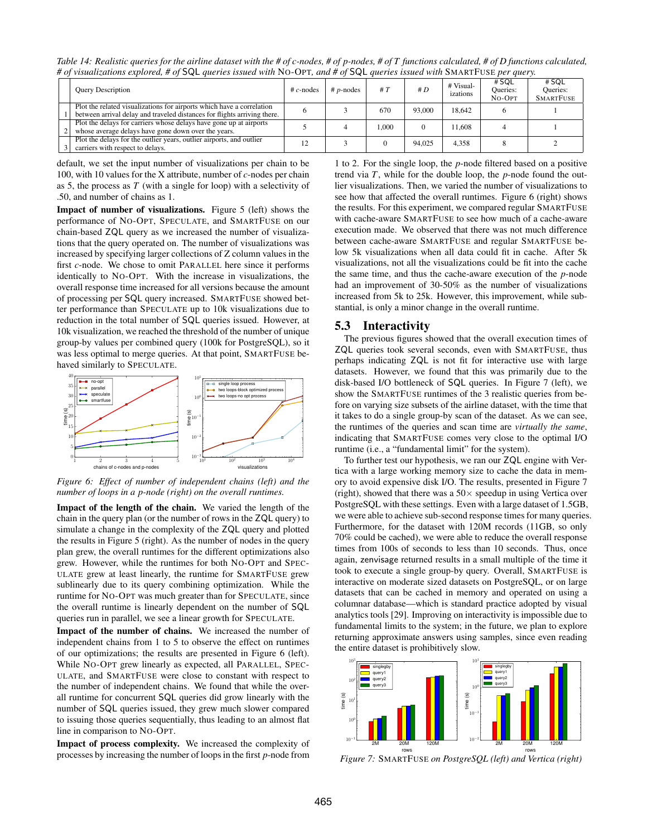*Table 14: Realistic queries for the airline dataset with the # of c-nodes, # of p-nodes, # of T functions calculated, # of D functions calculated, # of visualizations explored, # of* SQL *queries issued with* NO-OPT*, and # of* SQL *queries issued with* SMARTFUSE *per query.*

| <b>Ouery Description</b>                                                                                                                          | $\#c$ -nodes | $# p$ -nodes | #T   | # D    | # Visual-<br>izations | # SQL<br>Queries:<br>$No-OPT$ | # SQL<br><b>Oueries:</b><br><b>SMARTFUSE</b> |
|---------------------------------------------------------------------------------------------------------------------------------------------------|--------------|--------------|------|--------|-----------------------|-------------------------------|----------------------------------------------|
| Plot the related visualizations for airports which have a correlation<br>between arrival delay and traveled distances for flights arriving there. |              |              | 670  | 93,000 | 18.642                |                               |                                              |
| Plot the delays for carriers whose delays have gone up at airports<br>whose average delays have gone down over the years.                         |              |              | .000 |        | 11.608                |                               |                                              |
| Plot the delays for the outlier years, outlier airports, and outlier<br>carriers with respect to delays.                                          |              |              |      | 94,025 | 4.358                 |                               |                                              |

default, we set the input number of visualizations per chain to be 100, with 10 values for the X attribute, number of *c*-nodes per chain as 5, the process as *T* (with a single for loop) with a selectivity of .50, and number of chains as 1.

Impact of number of visualizations. Figure 5 (left) shows the performance of NO-OPT, SPECULATE, and SMARTFUSE on our chain-based ZQL query as we increased the number of visualizations that the query operated on. The number of visualizations was increased by specifying larger collections of Z column values in the first *c*-node. We chose to omit PARALLEL here since it performs identically to NO-OPT. With the increase in visualizations, the overall response time increased for all versions because the amount of processing per SQL query increased. SMARTFUSE showed better performance than SPECULATE up to 10k visualizations due to reduction in the total number of SQL queries issued. However, at 10k visualization, we reached the threshold of the number of unique group-by values per combined query (100k for PostgreSQL), so it was less optimal to merge queries. At that point, SMARTFUSE behaved similarly to SPECULATE.



*Figure 6: Effect of number of independent chains (left) and the number of loops in a p-node (right) on the overall runtimes.*

Impact of the length of the chain. We varied the length of the chain in the query plan (or the number of rows in the ZQL query) to simulate a change in the complexity of the ZQL query and plotted the results in Figure 5 (right). As the number of nodes in the query plan grew, the overall runtimes for the different optimizations also grew. However, while the runtimes for both NO-OPT and SPEC-ULATE grew at least linearly, the runtime for SMARTFUSE grew sublinearly due to its query combining optimization. While the runtime for NO-OPT was much greater than for SPECULATE, since the overall runtime is linearly dependent on the number of SQL queries run in parallel, we see a linear growth for SPECULATE.

Impact of the number of chains. We increased the number of independent chains from 1 to 5 to observe the effect on runtimes of our optimizations; the results are presented in Figure 6 (left). While NO-OPT grew linearly as expected, all PARALLEL, SPEC-ULATE, and SMARTFUSE were close to constant with respect to the number of independent chains. We found that while the overall runtime for concurrent SQL queries did grow linearly with the number of SQL queries issued, they grew much slower compared to issuing those queries sequentially, thus leading to an almost flat line in comparison to NO-OPT.

Impact of process complexity. We increased the complexity of processes by increasing the number of loops in the first *p*-node from 1 to 2. For the single loop, the *p*-node filtered based on a positive trend via *T*, while for the double loop, the *p*-node found the outlier visualizations. Then, we varied the number of visualizations to see how that affected the overall runtimes. Figure 6 (right) shows the results. For this experiment, we compared regular SMARTFUSE with cache-aware SMARTFUSE to see how much of a cache-aware execution made. We observed that there was not much difference between cache-aware SMARTFUSE and regular SMARTFUSE below 5k visualizations when all data could fit in cache. After 5k visualizations, not all the visualizations could be fit into the cache the same time, and thus the cache-aware execution of the *p*-node had an improvement of 30-50% as the number of visualizations increased from 5k to 25k. However, this improvement, while substantial, is only a minor change in the overall runtime.

# 5.3 Interactivity

The previous figures showed that the overall execution times of ZQL queries took several seconds, even with SMARTFUSE, thus perhaps indicating ZQL is not fit for interactive use with large datasets. However, we found that this was primarily due to the disk-based I/O bottleneck of SQL queries. In Figure 7 (left), we show the SMARTFUSE runtimes of the 3 realistic queries from before on varying size subsets of the airline dataset, with the time that it takes to do a single group-by scan of the dataset. As we can see, the runtimes of the queries and scan time are *virtually the same*, indicating that SMARTFUSE comes very close to the optimal I/O runtime (i.e., a "fundamental limit" for the system).

To further test our hypothesis, we ran our ZQL engine with Vertica with a large working memory size to cache the data in memory to avoid expensive disk I/O. The results, presented in Figure 7 (right), showed that there was a  $50\times$  speedup in using Vertica over PostgreSQL with these settings. Even with a large dataset of 1.5GB, we were able to achieve sub-second response times for many queries. Furthermore, for the dataset with 120M records (11GB, so only 70% could be cached), we were able to reduce the overall response times from 100s of seconds to less than 10 seconds. Thus, once again, zenvisage returned results in a small multiple of the time it took to execute a single group-by query. Overall, SMARTFUSE is interactive on moderate sized datasets on PostgreSQL, or on large datasets that can be cached in memory and operated on using a columnar database—which is standard practice adopted by visual analytics tools [29]. Improving on interactivity is impossible due to fundamental limits to the system; in the future, we plan to explore returning approximate answers using samples, since even reading the entire dataset is prohibitively slow.



*Figure 7:* SMARTFUSE *on PostgreSQL (left) and Vertica (right)*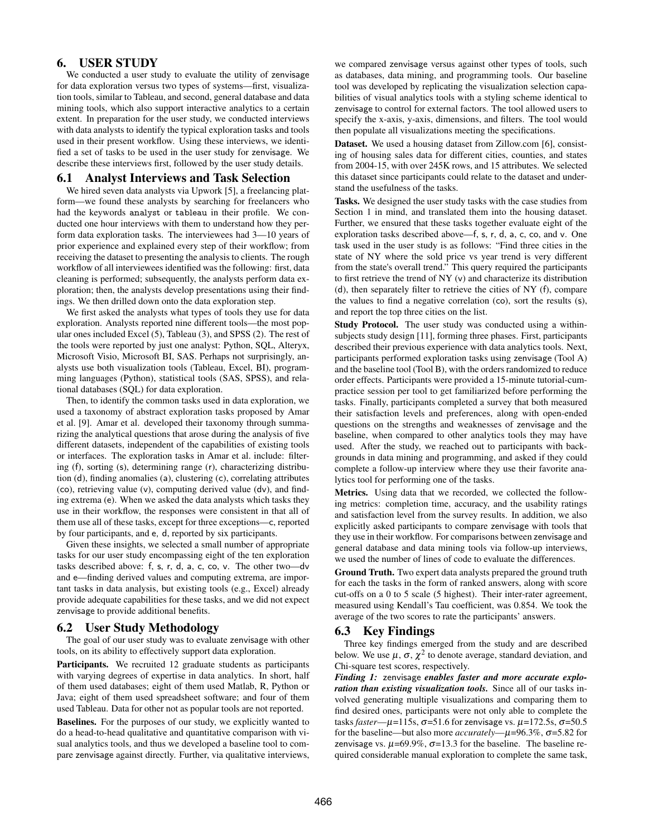# 6. USER STUDY

We conducted a user study to evaluate the utility of zenvisage for data exploration versus two types of systems—first, visualization tools, similar to Tableau, and second, general database and data mining tools, which also support interactive analytics to a certain extent. In preparation for the user study, we conducted interviews with data analysts to identify the typical exploration tasks and tools used in their present workflow. Using these interviews, we identified a set of tasks to be used in the user study for zenvisage. We describe these interviews first, followed by the user study details.

## 6.1 Analyst Interviews and Task Selection

We hired seven data analysts via Upwork [5], a freelancing platform—we found these analysts by searching for freelancers who had the keywords analyst or tableau in their profile. We conducted one hour interviews with them to understand how they perform data exploration tasks. The interviewees had 3—10 years of prior experience and explained every step of their workflow; from receiving the dataset to presenting the analysis to clients. The rough workflow of all interviewees identified was the following: first, data cleaning is performed; subsequently, the analysts perform data exploration; then, the analysts develop presentations using their findings. We then drilled down onto the data exploration step.

We first asked the analysts what types of tools they use for data exploration. Analysts reported nine different tools—the most popular ones included Excel (5), Tableau (3), and SPSS (2). The rest of the tools were reported by just one analyst: Python, SQL, Alteryx, Microsoft Visio, Microsoft BI, SAS. Perhaps not surprisingly, analysts use both visualization tools (Tableau, Excel, BI), programming languages (Python), statistical tools (SAS, SPSS), and relational databases (SQL) for data exploration.

Then, to identify the common tasks used in data exploration, we used a taxonomy of abstract exploration tasks proposed by Amar et al. [9]. Amar et al. developed their taxonomy through summarizing the analytical questions that arose during the analysis of five different datasets, independent of the capabilities of existing tools or interfaces. The exploration tasks in Amar et al. include: filtering (f), sorting (s), determining range (r), characterizing distribution (d), finding anomalies (a), clustering (c), correlating attributes (co), retrieving value (v), computing derived value (dv), and finding extrema (e). When we asked the data analysts which tasks they use in their workflow, the responses were consistent in that all of them use all of these tasks, except for three exceptions—c, reported by four participants, and e, d, reported by six participants.

Given these insights, we selected a small number of appropriate tasks for our user study encompassing eight of the ten exploration tasks described above: f, s, r, d, a, c, co, v. The other two—dv and e—finding derived values and computing extrema, are important tasks in data analysis, but existing tools (e.g., Excel) already provide adequate capabilities for these tasks, and we did not expect zenvisage to provide additional benefits.

## 6.2 User Study Methodology

The goal of our user study was to evaluate zenvisage with other tools, on its ability to effectively support data exploration.

Participants. We recruited 12 graduate students as participants with varying degrees of expertise in data analytics. In short, half of them used databases; eight of them used Matlab, R, Python or Java; eight of them used spreadsheet software; and four of them used Tableau. Data for other not as popular tools are not reported.

Baselines. For the purposes of our study, we explicitly wanted to do a head-to-head qualitative and quantitative comparison with visual analytics tools, and thus we developed a baseline tool to compare zenvisage against directly. Further, via qualitative interviews, we compared zenvisage versus against other types of tools, such as databases, data mining, and programming tools. Our baseline tool was developed by replicating the visualization selection capabilities of visual analytics tools with a styling scheme identical to zenvisage to control for external factors. The tool allowed users to specify the x-axis, y-axis, dimensions, and filters. The tool would then populate all visualizations meeting the specifications.

Dataset. We used a housing dataset from Zillow.com [6], consisting of housing sales data for different cities, counties, and states from 2004-15, with over 245K rows, and 15 attributes. We selected this dataset since participants could relate to the dataset and understand the usefulness of the tasks.

Tasks. We designed the user study tasks with the case studies from Section 1 in mind, and translated them into the housing dataset. Further, we ensured that these tasks together evaluate eight of the exploration tasks described above—f, s, r, d, a, c, co, and v. One task used in the user study is as follows: "Find three cities in the state of NY where the sold price vs year trend is very different from the state's overall trend." This query required the participants to first retrieve the trend of NY (v) and characterize its distribution (d), then separately filter to retrieve the cities of NY (f), compare the values to find a negative correlation (co), sort the results (s), and report the top three cities on the list.

Study Protocol. The user study was conducted using a withinsubjects study design [11], forming three phases. First, participants described their previous experience with data analytics tools. Next, participants performed exploration tasks using zenvisage (Tool A) and the baseline tool (Tool B), with the orders randomized to reduce order effects. Participants were provided a 15-minute tutorial-cumpractice session per tool to get familiarized before performing the tasks. Finally, participants completed a survey that both measured their satisfaction levels and preferences, along with open-ended questions on the strengths and weaknesses of zenvisage and the baseline, when compared to other analytics tools they may have used. After the study, we reached out to participants with backgrounds in data mining and programming, and asked if they could complete a follow-up interview where they use their favorite analytics tool for performing one of the tasks.

Metrics. Using data that we recorded, we collected the following metrics: completion time, accuracy, and the usability ratings and satisfaction level from the survey results. In addition, we also explicitly asked participants to compare zenvisage with tools that they use in their workflow. For comparisons between zenvisage and general database and data mining tools via follow-up interviews, we used the number of lines of code to evaluate the differences.

Ground Truth. Two expert data analysts prepared the ground truth for each the tasks in the form of ranked answers, along with score cut-offs on a 0 to 5 scale (5 highest). Their inter-rater agreement, measured using Kendall's Tau coefficient, was 0.854. We took the average of the two scores to rate the participants' answers.

#### 6.3 Key Findings

Three key findings emerged from the study and are described below. We use  $\mu$ ,  $\sigma$ ,  $\chi^2$  to denote average, standard deviation, and Chi-square test scores, respectively.

*Finding 1:* zenvisage *enables faster and more accurate exploration than existing visualization tools.* Since all of our tasks involved generating multiple visualizations and comparing them to find desired ones, participants were not only able to complete the tasks *faster*— $\mu$ =115s,  $\sigma$ =51.6 for zenvisage vs.  $\mu$ =172.5s,  $\sigma$ =50.5 for the baseline—but also more *accurately*—µ=96.3%, σ=5.82 for zenvisage vs.  $\mu$ =69.9%,  $\sigma$ =13.3 for the baseline. The baseline required considerable manual exploration to complete the same task,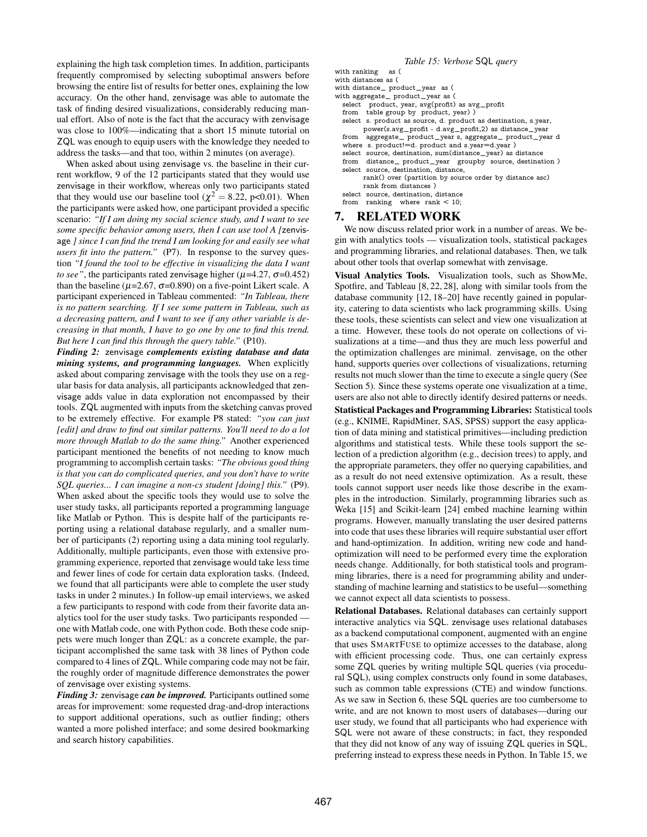explaining the high task completion times. In addition, participants frequently compromised by selecting suboptimal answers before browsing the entire list of results for better ones, explaining the low accuracy. On the other hand, zenvisage was able to automate the task of finding desired visualizations, considerably reducing manual effort. Also of note is the fact that the accuracy with zenvisage was close to 100%—indicating that a short 15 minute tutorial on ZQL was enough to equip users with the knowledge they needed to address the tasks—and that too, within 2 minutes (on average).

When asked about using zenvisage vs. the baseline in their current workflow, 9 of the 12 participants stated that they would use zenvisage in their workflow, whereas only two participants stated that they would use our baseline tool ( $\chi^2 = 8.22$ , p<0.01). When the participants were asked how, one participant provided a specific scenario: *"If I am doing my social science study, and I want to see some specific behavior among users, then I can use tool A [*zenvisage *] since I can find the trend I am looking for and easily see what users fit into the pattern.*" (P7). In response to the survey question *"I found the tool to be effective in visualizing the data I want to see"*, the participants rated zenvisage higher ( $\mu$ =4.27,  $\sigma$ =0.452) than the baseline ( $\mu$ =2.67,  $\sigma$ =0.890) on a five-point Likert scale. A participant experienced in Tableau commented: *"In Tableau, there is no pattern searching. If I see some pattern in Tableau, such as a decreasing pattern, and I want to see if any other variable is decreasing in that month, I have to go one by one to find this trend. But here I can find this through the query table."* (P10).

*Finding 2:* zenvisage *complements existing database and data mining systems, and programming languages.* When explicitly asked about comparing zenvisage with the tools they use on a regular basis for data analysis, all participants acknowledged that zenvisage adds value in data exploration not encompassed by their tools. ZQL augmented with inputs from the sketching canvas proved to be extremely effective. For example P8 stated: *"you can just [edit] and draw to find out similar patterns. You'll need to do a lot more through Matlab to do the same thing."* Another experienced participant mentioned the benefits of not needing to know much programming to accomplish certain tasks: *"The obvious good thing is that you can do complicated queries, and you don't have to write SQL queries... I can imagine a non-cs student [doing] this."* (P9). When asked about the specific tools they would use to solve the user study tasks, all participants reported a programming language like Matlab or Python. This is despite half of the participants reporting using a relational database regularly, and a smaller number of participants (2) reporting using a data mining tool regularly. Additionally, multiple participants, even those with extensive programming experience, reported that zenvisage would take less time and fewer lines of code for certain data exploration tasks. (Indeed, we found that all participants were able to complete the user study tasks in under 2 minutes.) In follow-up email interviews, we asked a few participants to respond with code from their favorite data analytics tool for the user study tasks. Two participants responded one with Matlab code, one with Python code. Both these code snippets were much longer than ZQL: as a concrete example, the participant accomplished the same task with 38 lines of Python code compared to 4 lines of ZQL. While comparing code may not be fair, the roughly order of magnitude difference demonstrates the power of zenvisage over existing systems.

*Finding 3:* zenvisage *can be improved.* Participants outlined some areas for improvement: some requested drag-and-drop interactions to support additional operations, such as outlier finding; others wanted a more polished interface; and some desired bookmarking and search history capabilities.

#### *Table 15: Verbose* SQL *query*

```
with ranking as (
with distances as (
with distance_ product_year as (
with aggregate_ product_year as (
  select product, year, avg(profit) as avg_profit
  from table group by product, year) )
  select s. product as source, d. product as destination, s. year,
        power(s.avg_profit - d.avg_profit,2) as distance_year
  from aggregate_ product_year s, aggregate_ product_year d
  where s. product!=d. product and s.year=d.year )
  select source, destination, sum(distance_year) as distance
  from distance_ product_year groupby source, destination )
  select source, destination, distance,
        rank() over (partition by source order by distance asc)
        rank from distances )
  select source, destination, distance
```
from ranking where rank < 10;

# 7. RELATED WORK

We now discuss related prior work in a number of areas. We begin with analytics tools — visualization tools, statistical packages and programming libraries, and relational databases. Then, we talk about other tools that overlap somewhat with zenvisage.

Visual Analytics Tools. Visualization tools, such as ShowMe, Spotfire, and Tableau [8, 22, 28], along with similar tools from the database community [12, 18–20] have recently gained in popularity, catering to data scientists who lack programming skills. Using these tools, these scientists can select and view one visualization at a time. However, these tools do not operate on collections of visualizations at a time—and thus they are much less powerful and the optimization challenges are minimal. zenvisage, on the other hand, supports queries over collections of visualizations, returning results not much slower than the time to execute a single query (See Section 5). Since these systems operate one visualization at a time, users are also not able to directly identify desired patterns or needs.

Statistical Packages and Programming Libraries: Statistical tools (e.g., KNIME, RapidMiner, SAS, SPSS) support the easy application of data mining and statistical primitives—including prediction algorithms and statistical tests. While these tools support the selection of a prediction algorithm (e.g., decision trees) to apply, and the appropriate parameters, they offer no querying capabilities, and as a result do not need extensive optimization. As a result, these tools cannot support user needs like those describe in the examples in the introduction. Similarly, programming libraries such as Weka [15] and Scikit-learn [24] embed machine learning within programs. However, manually translating the user desired patterns into code that uses these libraries will require substantial user effort and hand-optimization. In addition, writing new code and handoptimization will need to be performed every time the exploration needs change. Additionally, for both statistical tools and programming libraries, there is a need for programming ability and understanding of machine learning and statistics to be useful—something we cannot expect all data scientists to possess.

Relational Databases. Relational databases can certainly support interactive analytics via SQL. zenvisage uses relational databases as a backend computational component, augmented with an engine that uses SMARTFUSE to optimize accesses to the database, along with efficient processing code. Thus, one can certainly express some ZQL queries by writing multiple SQL queries (via procedural SQL), using complex constructs only found in some databases, such as common table expressions (CTE) and window functions. As we saw in Section 6, these SQL queries are too cumbersome to write, and are not known to most users of databases—during our user study, we found that all participants who had experience with SQL were not aware of these constructs; in fact, they responded that they did not know of any way of issuing ZQL queries in SQL, preferring instead to express these needs in Python. In Table 15, we